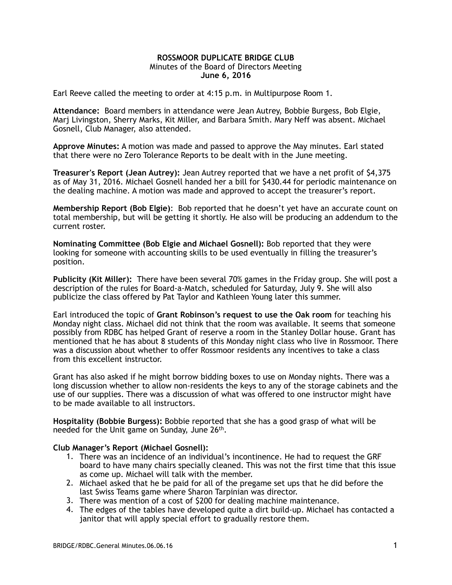## **ROSSMOOR DUPLICATE BRIDGE CLUB**  Minutes of the Board of Directors Meeting **June 6, 2016**

Earl Reeve called the meeting to order at 4:15 p.m. in Multipurpose Room 1.

**Attendance:** Board members in attendance were Jean Autrey, Bobbie Burgess, Bob Elgie, Marj Livingston, Sherry Marks, Kit Miller, and Barbara Smith. Mary Neff was absent. Michael Gosnell, Club Manager, also attended.

**Approve Minutes:** A motion was made and passed to approve the May minutes. Earl stated that there were no Zero Tolerance Reports to be dealt with in the June meeting.

**Treasurer's Report (Jean Autrey):** Jean Autrey reported that we have a net profit of \$4,375 as of May 31, 2016. Michael Gosnell handed her a bill for \$430.44 for periodic maintenance on the dealing machine. A motion was made and approved to accept the treasurer's report.

**Membership Report (Bob Elgie)**: Bob reported that he doesn't yet have an accurate count on total membership, but will be getting it shortly. He also will be producing an addendum to the current roster.

**Nominating Committee (Bob Elgie and Michael Gosnell):** Bob reported that they were looking for someone with accounting skills to be used eventually in filling the treasurer's position.

**Publicity (Kit Miller):** There have been several 70% games in the Friday group. She will post a description of the rules for Board-a-Match, scheduled for Saturday, July 9. She will also publicize the class offered by Pat Taylor and Kathleen Young later this summer.

Earl introduced the topic of **Grant Robinson's request to use the Oak room** for teaching his Monday night class. Michael did not think that the room was available. It seems that someone possibly from RDBC has helped Grant of reserve a room in the Stanley Dollar house. Grant has mentioned that he has about 8 students of this Monday night class who live in Rossmoor. There was a discussion about whether to offer Rossmoor residents any incentives to take a class from this excellent instructor.

Grant has also asked if he might borrow bidding boxes to use on Monday nights. There was a long discussion whether to allow non-residents the keys to any of the storage cabinets and the use of our supplies. There was a discussion of what was offered to one instructor might have to be made available to all instructors.

**Hospitality (Bobbie Burgess):** Bobbie reported that she has a good grasp of what will be needed for the Unit game on Sunday, June 26th.

## **Club Manager's Report (Michael Gosnell):**

- 1. There was an incidence of an individual's incontinence. He had to request the GRF board to have many chairs specially cleaned. This was not the first time that this issue as come up. Michael will talk with the member.
- 2. Michael asked that he be paid for all of the pregame set ups that he did before the last Swiss Teams game where Sharon Tarpinian was director.
- 3. There was mention of a cost of \$200 for dealing machine maintenance.
- 4. The edges of the tables have developed quite a dirt build-up. Michael has contacted a janitor that will apply special effort to gradually restore them.